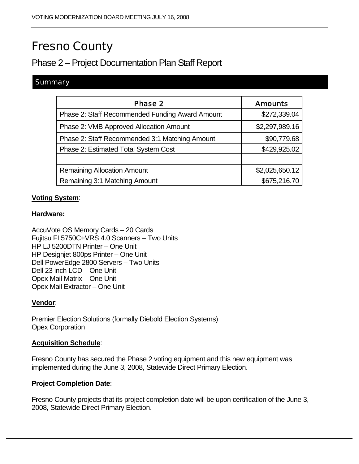# Fresno County

## Phase 2 – Project Documentation Plan Staff Report

#### **Summary**

| <b>Phase 2</b>                                  | <b>Amounts</b> |
|-------------------------------------------------|----------------|
| Phase 2: Staff Recommended Funding Award Amount | \$272,339.04   |
| Phase 2: VMB Approved Allocation Amount         | \$2,297,989.16 |
| Phase 2: Staff Recommended 3:1 Matching Amount  | \$90,779.68    |
| Phase 2: Estimated Total System Cost            | \$429,925.02   |
|                                                 |                |
| <b>Remaining Allocation Amount</b>              | \$2,025,650.12 |
| Remaining 3:1 Matching Amount                   | \$675,216.70   |

#### **Voting System**:

#### **Hardware:**

AccuVote OS Memory Cards – 20 Cards Fujitsu FI 5750C+VRS 4.0 Scanners – Two Units HP LJ 5200DTN Printer – One Unit HP Designjet 800ps Printer – One Unit Dell PowerEdge 2800 Servers – Two Units Dell 23 inch LCD – One Unit Opex Mail Matrix – One Unit Opex Mail Extractor – One Unit

#### **Vendor**:

Premier Election Solutions (formally Diebold Election Systems) Opex Corporation

#### **Acquisition Schedule**:

Fresno County has secured the Phase 2 voting equipment and this new equipment was implemented during the June 3, 2008, Statewide Direct Primary Election.

#### **Project Completion Date**:

Fresno County projects that its project completion date will be upon certification of the June 3, 2008, Statewide Direct Primary Election.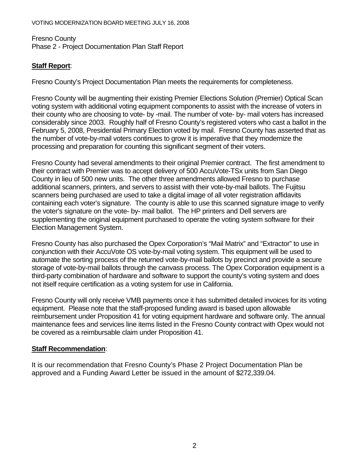#### Fresno County Phase 2 - Project Documentation Plan Staff Report

#### **Staff Report**:

Fresno County's Project Documentation Plan meets the requirements for completeness.

Fresno County will be augmenting their existing Premier Elections Solution (Premier) Optical Scan voting system with additional voting equipment components to assist with the increase of voters in their county who are choosing to vote- by -mail. The number of vote- by- mail voters has increased considerably since 2003. Roughly half of Fresno County's registered voters who cast a ballot in the February 5, 2008, Presidential Primary Election voted by mail. Fresno County has asserted that as the number of vote-by-mail voters continues to grow it is imperative that they modernize the processing and preparation for counting this significant segment of their voters.

Fresno County had several amendments to their original Premier contract. The first amendment to their contract with Premier was to accept delivery of 500 AccuVote-TSx units from San Diego County in lieu of 500 new units. The other three amendments allowed Fresno to purchase additional scanners, printers, and servers to assist with their vote-by-mail ballots. The Fujitsu scanners being purchased are used to take a digital image of all voter registration affidavits containing each voter's signature. The county is able to use this scanned signature image to verify the voter's signature on the vote- by- mail ballot. The HP printers and Dell servers are supplementing the original equipment purchased to operate the voting system software for their Election Management System.

Fresno County has also purchased the Opex Corporation's "Mail Matrix" and "Extractor" to use in conjunction with their AccuVote OS vote-by-mail voting system. This equipment will be used to automate the sorting process of the returned vote-by-mail ballots by precinct and provide a secure storage of vote-by-mail ballots through the canvass process. The Opex Corporation equipment is a third-party combination of hardware and software to support the county's voting system and does not itself require certification as a voting system for use in California.

Fresno County will only receive VMB payments once it has submitted detailed invoices for its voting equipment. Please note that the staff-proposed funding award is based upon allowable reimbursement under Proposition 41 for voting equipment hardware and software only. The annual maintenance fees and services line items listed in the Fresno County contract with Opex would not be covered as a reimbursable claim under Proposition 41.

#### **Staff Recommendation**:

It is our recommendation that Fresno County's Phase 2 Project Documentation Plan be approved and a Funding Award Letter be issued in the amount of \$272,339.04.